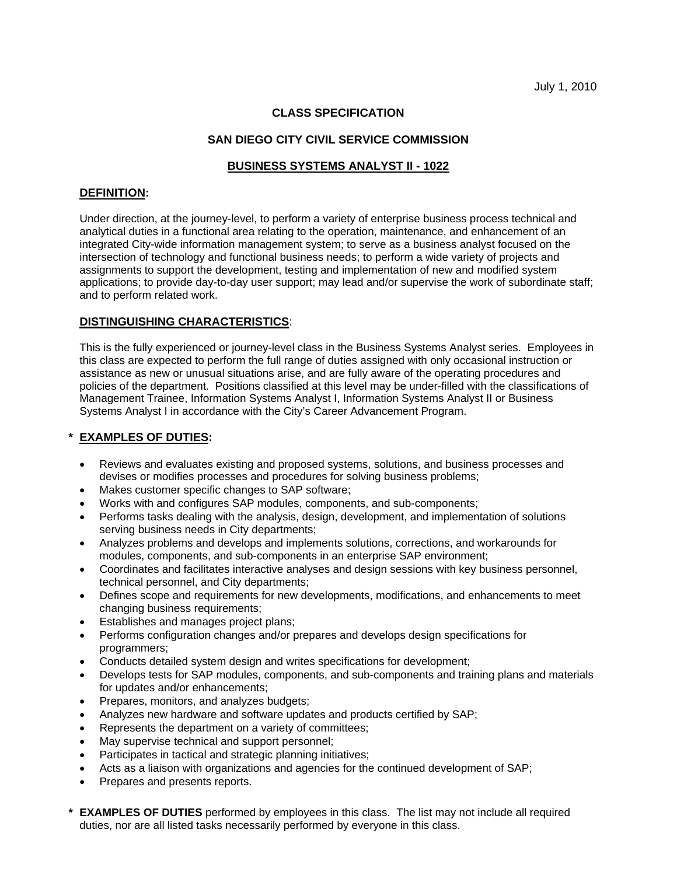# **CLASS SPECIFICATION**

### **SAN DIEGO CITY CIVIL SERVICE COMMISSION**

## **BUSINESS SYSTEMS ANALYST II - 1022**

#### **DEFINITION:**

Under direction, at the journey-level, to perform a variety of enterprise business process technical and analytical duties in a functional area relating to the operation, maintenance, and enhancement of an integrated City-wide information management system; to serve as a business analyst focused on the intersection of technology and functional business needs; to perform a wide variety of projects and assignments to support the development, testing and implementation of new and modified system applications; to provide day-to-day user support; may lead and/or supervise the work of subordinate staff; and to perform related work.

### **DISTINGUISHING CHARACTERISTICS**:

This is the fully experienced or journey-level class in the Business Systems Analyst series. Employees in this class are expected to perform the full range of duties assigned with only occasional instruction or assistance as new or unusual situations arise, and are fully aware of the operating procedures and policies of the department. Positions classified at this level may be under-filled with the classifications of Management Trainee, Information Systems Analyst I, Information Systems Analyst II or Business Systems Analyst I in accordance with the City's Career Advancement Program.

### **\* EXAMPLES OF DUTIES:**

- Reviews and evaluates existing and proposed systems, solutions, and business processes and devises or modifies processes and procedures for solving business problems;
- Makes customer specific changes to SAP software;
- Works with and configures SAP modules, components, and sub-components;
- Performs tasks dealing with the analysis, design, development, and implementation of solutions serving business needs in City departments;
- Analyzes problems and develops and implements solutions, corrections, and workarounds for modules, components, and sub-components in an enterprise SAP environment;
- Coordinates and facilitates interactive analyses and design sessions with key business personnel, technical personnel, and City departments;
- Defines scope and requirements for new developments, modifications, and enhancements to meet changing business requirements;
- **Establishes and manages project plans;**
- Performs configuration changes and/or prepares and develops design specifications for programmers;
- Conducts detailed system design and writes specifications for development;
- Develops tests for SAP modules, components, and sub-components and training plans and materials for updates and/or enhancements;
- Prepares, monitors, and analyzes budgets;
- Analyzes new hardware and software updates and products certified by SAP;
- Represents the department on a variety of committees;
- May supervise technical and support personnel;
- Participates in tactical and strategic planning initiatives;
- Acts as a liaison with organizations and agencies for the continued development of SAP;
- Prepares and presents reports.
- **\* EXAMPLES OF DUTIES** performed by employees in this class. The list may not include all required duties, nor are all listed tasks necessarily performed by everyone in this class.